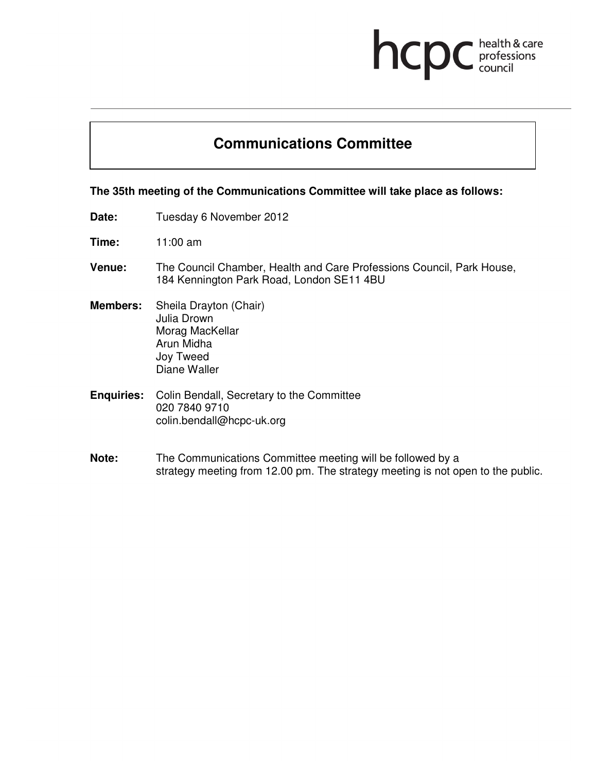## hcp health & care<br>professions<br>council

## **Communications Committee**

## **The 35th meeting of the Communications Committee will take place as follows:**

- Date: Tuesday 6 November 2012
- **Time:** 11:00 am
- **Venue:** The Council Chamber, Health and Care Professions Council, Park House, 184 Kennington Park Road, London SE11 4BU
- **Members:** Sheila Drayton (Chair) Julia Drown Morag MacKellar Arun Midha Joy Tweed Diane Waller
- **Enquiries:** Colin Bendall, Secretary to the Committee 020 7840 9710 colin.bendall@hcpc-uk.org
- **Note:** The Communications Committee meeting will be followed by a strategy meeting from 12.00 pm. The strategy meeting is not open to the public.